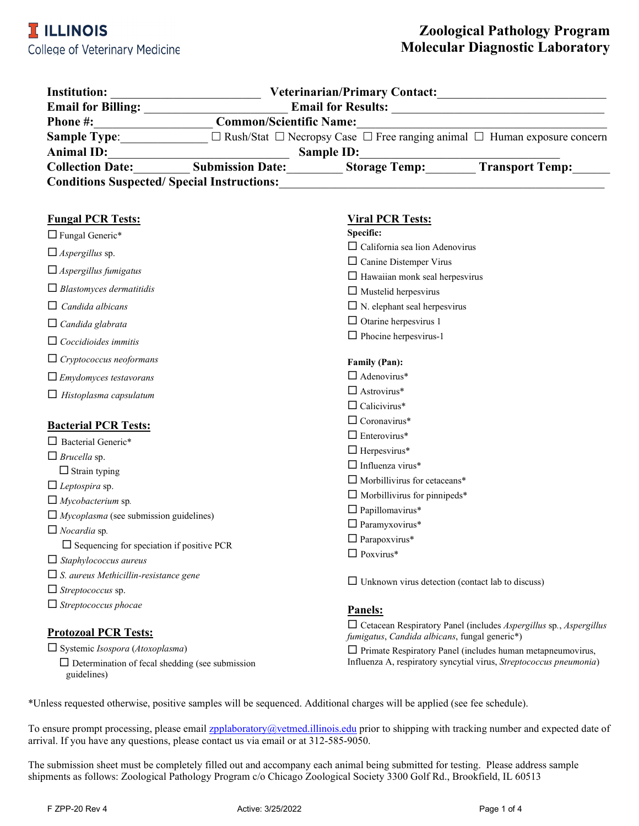| <b>Institution:</b>                               |                                | <b>Veterinarian/Primary Contact:</b> |                                                                                                |
|---------------------------------------------------|--------------------------------|--------------------------------------|------------------------------------------------------------------------------------------------|
| <b>Email for Billing:</b>                         | <b>Email for Results:</b>      |                                      |                                                                                                |
| <b>Phone #:</b>                                   | <b>Common/Scientific Name:</b> |                                      |                                                                                                |
| <b>Sample Type:</b>                               |                                |                                      | $\Box$ Rush/Stat $\Box$ Necropsy Case $\Box$ Free ranging animal $\Box$ Human exposure concern |
| <b>Animal ID:</b>                                 | <b>Sample ID:</b>              |                                      |                                                                                                |
| <b>Collection Date:</b>                           | <b>Submission Date:</b>        | <b>Storage Temp:</b>                 | <b>Transport Temp:</b>                                                                         |
| <b>Conditions Suspected/Special Instructions:</b> |                                |                                      |                                                                                                |

| <b>Fungal PCR Tests:</b>                         | <b>Viral PCR Tests:</b>                                                                                                                 |  |
|--------------------------------------------------|-----------------------------------------------------------------------------------------------------------------------------------------|--|
| $\Box$ Fungal Generic*                           | Specific:                                                                                                                               |  |
| $\Box$ Aspergillus sp.                           | $\Box$ California sea lion Adenovirus                                                                                                   |  |
| $\Box$ Aspergillus fumigatus                     | $\Box$ Canine Distemper Virus                                                                                                           |  |
|                                                  | $\Box$ Hawaiian monk seal herpesvirus                                                                                                   |  |
| $\Box$ Blastomyces dermatitidis                  | $\Box$ Mustelid herpesvirus                                                                                                             |  |
| $\Box$ Candida albicans                          | $\Box$ N. elephant seal herpesvirus                                                                                                     |  |
| $\Box$ Candida glabrata                          | $\Box$ Otarine herpesvirus 1                                                                                                            |  |
| $\Box$ Coccidioides immitis                      | $\Box$ Phocine herpesvirus-1                                                                                                            |  |
| $\Box$ Cryptococcus neoformans                   | <b>Family (Pan):</b>                                                                                                                    |  |
| $\Box$ Emydomyces testavorans                    | $\Box$ Adenovirus*                                                                                                                      |  |
| $\Box$ Histoplasma capsulatum                    | $\Box$ Astrovirus*                                                                                                                      |  |
|                                                  | $\Box$ Calicivirus*                                                                                                                     |  |
| <b>Bacterial PCR Tests:</b>                      | $\Box$ Coronavirus*                                                                                                                     |  |
| $\Box$ Bacterial Generic*                        | $\Box$ Enterovirus*                                                                                                                     |  |
| $\Box$ Brucella sp.                              | $\Box$ Herpesvirus*                                                                                                                     |  |
| $\Box$ Strain typing                             | $\Box$ Influenza virus*                                                                                                                 |  |
| $\Box$ Leptospira sp.                            | $\Box$ Morbillivirus for cetaceans*                                                                                                     |  |
| $\Box$ Mycobacterium sp.                         | $\Box$ Morbillivirus for pinnipeds*                                                                                                     |  |
| $\Box$ Mycoplasma (see submission guidelines)    | $\Box$ Papillomavirus*                                                                                                                  |  |
| $\Box$ Nocardia sp.                              | $\Box$ Paramyxovirus*                                                                                                                   |  |
| $\Box$ Sequencing for speciation if positive PCR | $\Box$ Parapoxvirus*                                                                                                                    |  |
| $\Box$ Staphylococcus aureus                     | $\Box$ Poxvirus*                                                                                                                        |  |
| $\Box$ S. aureus Methicillin-resistance gene     |                                                                                                                                         |  |
| $\Box$ Streptococcus sp.                         | $\Box$ Unknown virus detection (contact lab to discuss)                                                                                 |  |
| $\Box$ Streptococcus phocae                      | <b>Panels:</b>                                                                                                                          |  |
| <b>Protozoal PCR Tests:</b>                      | $\Box$ Cetacean Respiratory Panel (includes <i>Aspergillus</i> sp., <i>Aspergillus</i><br>fumigatus, Candida albicans, fungal generic*) |  |

Systemic *Isospora* (*Atoxoplasma*)

 $\square$  Determination of fecal shedding (see submission guidelines)

 $\square$  Primate Respiratory Panel (includes human metapneumovirus, Influenza A, respiratory syncytial virus, *Streptococcus pneumonia*)

\*Unless requested otherwise, positive samples will be sequenced. Additional charges will be applied (see fee schedule).

To ensure prompt processing, please emai[l zpplaboratory@vetmed.illinois.edu](mailto:zpp@uiuc.edu) prior to shipping with tracking number and expected date of arrival. If you have any questions, please contact us via email or at 312-585-9050.

The submission sheet must be completely filled out and accompany each animal being submitted for testing. Please address sample shipments as follows: Zoological Pathology Program c/o Chicago Zoological Society 3300 Golf Rd., Brookfield, IL 60513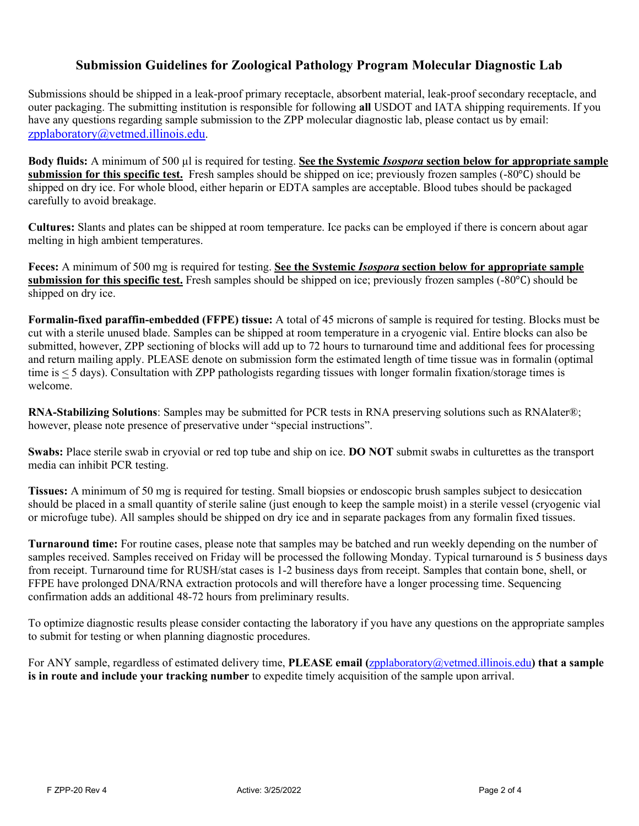# **Submission Guidelines for Zoological Pathology Program Molecular Diagnostic Lab**

Submissions should be shipped in a leak-proof primary receptacle, absorbent material, leak-proof secondary receptacle, and outer packaging. The submitting institution is responsible for following **all** USDOT and IATA shipping requirements. If you have any questions regarding sample submission to the ZPP molecular diagnostic lab, please contact us by email: [zpplaboratory@vetmed.illinois.edu.](mailto:)

**Body fluids:** A minimum of 500 µl is required for testing. **See the Systemic** *Isospora* **section below for appropriate sample submission for this specific test.** Fresh samples should be shipped on ice; previously frozen samples (-80°C) should be shipped on dry ice. For whole blood, either heparin or EDTA samples are acceptable. Blood tubes should be packaged carefully to avoid breakage.

**Cultures:** Slants and plates can be shipped at room temperature. Ice packs can be employed if there is concern about agar melting in high ambient temperatures.

**Feces:** A minimum of 500 mg is required for testing. **See the Systemic** *Isospora* **section below for appropriate sample submission for this specific test.** Fresh samples should be shipped on ice; previously frozen samples (-80°C) should be shipped on dry ice.

**Formalin-fixed paraffin-embedded (FFPE) tissue:** A total of 45 microns of sample is required for testing. Blocks must be cut with a sterile unused blade. Samples can be shipped at room temperature in a cryogenic vial. Entire blocks can also be submitted, however, ZPP sectioning of blocks will add up to 72 hours to turnaround time and additional fees for processing and return mailing apply. PLEASE denote on submission form the estimated length of time tissue was in formalin (optimal time is < 5 days). Consultation with ZPP pathologists regarding tissues with longer formalin fixation/storage times is welcome.

**RNA-Stabilizing Solutions**: Samples may be submitted for PCR tests in RNA preserving solutions such as RNAlater®; however, please note presence of preservative under "special instructions".

**Swabs:** Place sterile swab in cryovial or red top tube and ship on ice. **DO NOT** submit swabs in culturettes as the transport media can inhibit PCR testing.

**Tissues:** A minimum of 50 mg is required for testing. Small biopsies or endoscopic brush samples subject to desiccation should be placed in a small quantity of sterile saline (just enough to keep the sample moist) in a sterile vessel (cryogenic vial or microfuge tube). All samples should be shipped on dry ice and in separate packages from any formalin fixed tissues.

**Turnaround time:** For routine cases, please note that samples may be batched and run weekly depending on the number of samples received. Samples received on Friday will be processed the following Monday. Typical turnaround is 5 business days from receipt. Turnaround time for RUSH/stat cases is 1-2 business days from receipt. Samples that contain bone, shell, or FFPE have prolonged DNA/RNA extraction protocols and will therefore have a longer processing time. Sequencing confirmation adds an additional 48-72 hours from preliminary results.

To optimize diagnostic results please consider contacting the laboratory if you have any questions on the appropriate samples to submit for testing or when planning diagnostic procedures.

For ANY sample, regardless of estimated delivery time, **PLEASE email (**[zpplaboratory@vetmed.illinois.edu](mailto:zpplaboratory@vetmed.illinois.edu)**) that a sample is in route and include your tracking number** to expedite timely acquisition of the sample upon arrival.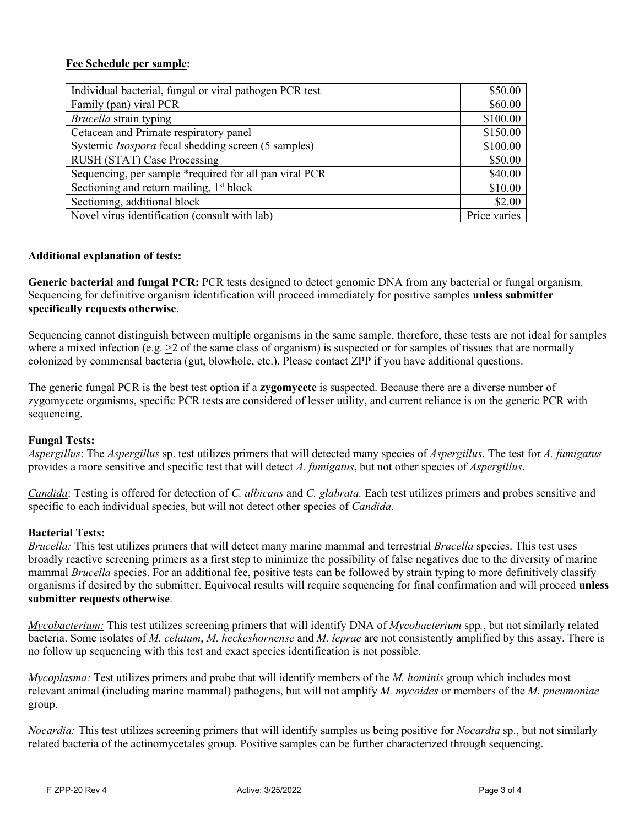## **Fee Schedule per sample:**

| Individual bacterial, fungal or viral pathogen PCR test    | \$50.00  |
|------------------------------------------------------------|----------|
| Family (pan) viral PCR                                     |          |
| Brucella strain typing                                     |          |
| Cetacean and Primate respiratory panel                     | \$150.00 |
| Systemic <i>Isospora</i> fecal shedding screen (5 samples) |          |
| RUSH (STAT) Case Processing                                | \$50.00  |
| Sequencing, per sample *required for all pan viral PCR     |          |
| Sectioning and return mailing, 1 <sup>st</sup> block       |          |
| Sectioning, additional block                               |          |
| Novel virus identification (consult with lab)              |          |

### **Additional explanation of tests:**

**Generic bacterial and fungal PCR:** PCR tests designed to detect genomic DNA from any bacterial or fungal organism. Sequencing for definitive organism identification will proceed immediately for positive samples **unless submitter specifically requests otherwise**.

Sequencing cannot distinguish between multiple organisms in the same sample, therefore, these tests are not ideal for samples where a mixed infection (e.g.  $>2$  of the same class of organism) is suspected or for samples of tissues that are normally colonized by commensal bacteria (gut, blowhole, etc.). Please contact ZPP if you have additional questions.

The generic fungal PCR is the best test option if a **zygomycete** is suspected. Because there are a diverse number of zygomycete organisms, specific PCR tests are considered of lesser utility, and current reliance is on the generic PCR with sequencing.

#### **Fungal Tests:**

*Aspergillus*: The *Aspergillus* sp. test utilizes primers that will detected many species of *Aspergillus*. The test for *A. fumigatus* provides a more sensitive and specific test that will detect *A. fumigatus*, but not other species of *Aspergillus*.

*Candida*: Testing is offered for detection of *C. albicans* and *C. glabrata.* Each test utilizes primers and probes sensitive and specific to each individual species, but will not detect other species of *Candida*.

#### **Bacterial Tests:**

*Brucella:* This test utilizes primers that will detect many marine mammal and terrestrial *Brucella* species. This test uses broadly reactive screening primers as a first step to minimize the possibility of false negatives due to the diversity of marine mammal *Brucella* species. For an additional fee, positive tests can be followed by strain typing to more definitively classify organisms if desired by the submitter. Equivocal results will require sequencing for final confirmation and will proceed **unless submitter requests otherwise**.

*Mycobacterium:* This test utilizes screening primers that will identify DNA of *Mycobacterium* spp*.*, but not similarly related bacteria. Some isolates of *M. celatum*, *M. heckeshornense* and *M. leprae* are not consistently amplified by this assay. There is no follow up sequencing with this test and exact species identification is not possible.

*Mycoplasma:* Test utilizes primers and probe that will identify members of the *M. hominis* group which includes most relevant animal (including marine mammal) pathogens, but will not amplify *M. mycoides* or members of the *M. pneumoniae* group.

*Nocardia:* This test utilizes screening primers that will identify samples as being positive for *Nocardia* sp., but not similarly related bacteria of the actinomycetales group. Positive samples can be further characterized through sequencing.